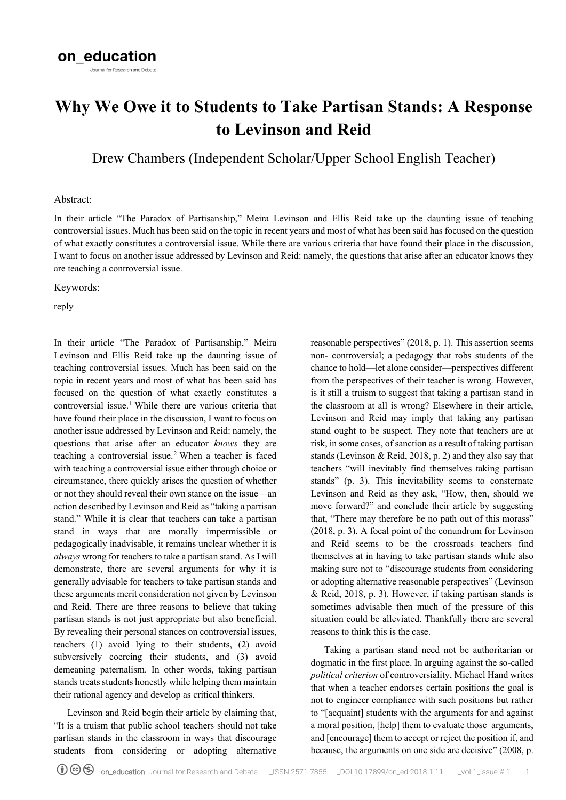# **Why We Owe it to Students to Take Partisan Stands: A Response to Levinson and Reid**

Drew Chambers (Independent Scholar/Upper School English Teacher)

#### Abstract:

In their article "The Paradox of Partisanship," Meira Levinson and Ellis Reid take up the daunting issue of teaching controversial issues. Much has been said on the topic in recent years and most of what has been said has focused on the question of what exactly constitutes a controversial issue. While there are various criteria that have found their place in the discussion, I want to focus on another issue addressed by Levinson and Reid: namely, the questions that arise after an educator knows they are teaching a controversial issue.

Keywords:

reply

In their article "The Paradox of Partisanship," Meira Levinson and Ellis Reid take up the daunting issue of teaching controversial issues. Much has been said on the topic in recent years and most of what has been said has focused on the question of what exactly constitutes a controversial issue.<sup>[1](#page-2-0)</sup> While there are various criteria that have found their place in the discussion, I want to focus on another issue addressed by Levinson and Reid: namely, the questions that arise after an educator *knows* they are teaching a controversial issue.<sup>[2](#page-2-1)</sup> When a teacher is faced with teaching a controversial issue either through choice or circumstance, there quickly arises the question of whether or not they should reveal their own stance on the issue—an action described by Levinson and Reid as "taking a partisan stand." While it is clear that teachers can take a partisan stand in ways that are morally impermissible or pedagogically inadvisable, it remains unclear whether it is *always* wrong for teachers to take a partisan stand. As I will demonstrate, there are several arguments for why it is generally advisable for teachers to take partisan stands and these arguments merit consideration not given by Levinson and Reid. There are three reasons to believe that taking partisan stands is not just appropriate but also beneficial. By revealing their personal stances on controversial issues, teachers (1) avoid lying to their students, (2) avoid subversively coercing their students, and (3) avoid demeaning paternalism. In other words, taking partisan stands treats students honestly while helping them maintain their rational agency and develop as critical thinkers.

Levinson and Reid begin their article by claiming that, "It is a truism that public school teachers should not take partisan stands in the classroom in ways that discourage students from considering or adopting alternative reasonable perspectives" (2018, p. 1). This assertion seems non- controversial; a pedagogy that robs students of the chance to hold—let alone consider—perspectives different from the perspectives of their teacher is wrong. However, is it still a truism to suggest that taking a partisan stand in the classroom at all is wrong? Elsewhere in their article, Levinson and Reid may imply that taking any partisan stand ought to be suspect. They note that teachers are at risk, in some cases, of sanction as a result of taking partisan stands (Levinson & Reid, 2018, p. 2) and they also say that teachers "will inevitably find themselves taking partisan stands" (p. 3). This inevitability seems to consternate Levinson and Reid as they ask, "How, then, should we move forward?" and conclude their article by suggesting that, "There may therefore be no path out of this morass" (2018, p. 3). A focal point of the conundrum for Levinson and Reid seems to be the crossroads teachers find themselves at in having to take partisan stands while also making sure not to "discourage students from considering or adopting alternative reasonable perspectives" (Levinson & Reid, 2018, p. 3). However, if taking partisan stands is sometimes advisable then much of the pressure of this situation could be alleviated. Thankfully there are several reasons to think this is the case.

Taking a partisan stand need not be authoritarian or dogmatic in the first place. In arguing against the so-called *political criterion* of controversiality, Michael Hand writes that when a teacher endorses certain positions the goal is not to engineer compliance with such positions but rather to "[acquaint] students with the arguments for and against a moral position, [help] them to evaluate those arguments, and [encourage] them to accept or reject the position if, and because, the arguments on one side are decisive" (2008, p.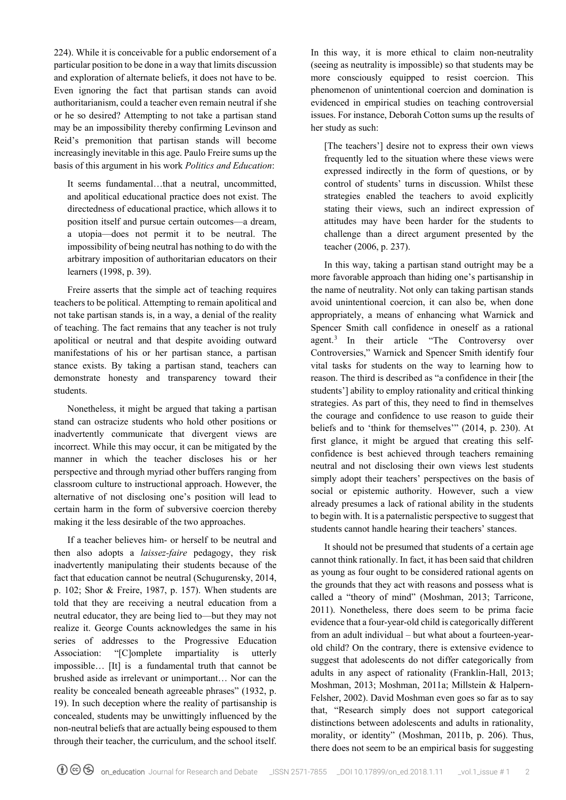224). While it is conceivable for a public endorsement of a particular position to be done in a way that limits discussion and exploration of alternate beliefs, it does not have to be. Even ignoring the fact that partisan stands can avoid authoritarianism, could a teacher even remain neutral if she or he so desired? Attempting to not take a partisan stand may be an impossibility thereby confirming Levinson and Reid's premonition that partisan stands will become increasingly inevitable in this age. Paulo Freire sums up the basis of this argument in his work *Politics and Education*:

It seems fundamental…that a neutral, uncommitted, and apolitical educational practice does not exist. The directedness of educational practice, which allows it to position itself and pursue certain outcomes—a dream, a utopia—does not permit it to be neutral. The impossibility of being neutral has nothing to do with the arbitrary imposition of authoritarian educators on their learners (1998, p. 39).

Freire asserts that the simple act of teaching requires teachers to be political. Attempting to remain apolitical and not take partisan stands is, in a way, a denial of the reality of teaching. The fact remains that any teacher is not truly apolitical or neutral and that despite avoiding outward manifestations of his or her partisan stance, a partisan stance exists. By taking a partisan stand, teachers can demonstrate honesty and transparency toward their students.

Nonetheless, it might be argued that taking a partisan stand can ostracize students who hold other positions or inadvertently communicate that divergent views are incorrect. While this may occur, it can be mitigated by the manner in which the teacher discloses his or her perspective and through myriad other buffers ranging from classroom culture to instructional approach. However, the alternative of not disclosing one's position will lead to certain harm in the form of subversive coercion thereby making it the less desirable of the two approaches.

If a teacher believes him- or herself to be neutral and then also adopts a *laissez-faire* pedagogy, they risk inadvertently manipulating their students because of the fact that education cannot be neutral (Schugurensky, 2014, p. 102; Shor & Freire, 1987, p. 157). When students are told that they are receiving a neutral education from a neutral educator, they are being lied to—but they may not realize it. George Counts acknowledges the same in his series of addresses to the Progressive Education Association: "[C]omplete impartiality is utterly impossible… [It] is a fundamental truth that cannot be brushed aside as irrelevant or unimportant… Nor can the reality be concealed beneath agreeable phrases" (1932, p. 19). In such deception where the reality of partisanship is concealed, students may be unwittingly influenced by the non-neutral beliefs that are actually being espoused to them through their teacher, the curriculum, and the school itself.

In this way, it is more ethical to claim non-neutrality (seeing as neutrality is impossible) so that students may be more consciously equipped to resist coercion. This phenomenon of unintentional coercion and domination is evidenced in empirical studies on teaching controversial issues. For instance, Deborah Cotton sums up the results of her study as such:

[The teachers'] desire not to express their own views frequently led to the situation where these views were expressed indirectly in the form of questions, or by control of students' turns in discussion. Whilst these strategies enabled the teachers to avoid explicitly stating their views, such an indirect expression of attitudes may have been harder for the students to challenge than a direct argument presented by the teacher (2006, p. 237).

In this way, taking a partisan stand outright may be a more favorable approach than hiding one's partisanship in the name of neutrality. Not only can taking partisan stands avoid unintentional coercion, it can also be, when done appropriately, a means of enhancing what Warnick and Spencer Smith call confidence in oneself as a rational agent.[3](#page-2-2) In their article "The Controversy over Controversies," Warnick and Spencer Smith identify four vital tasks for students on the way to learning how to reason. The third is described as "a confidence in their [the students'] ability to employ rationality and critical thinking strategies. As part of this, they need to find in themselves the courage and confidence to use reason to guide their beliefs and to 'think for themselves'" (2014, p. 230). At first glance, it might be argued that creating this selfconfidence is best achieved through teachers remaining neutral and not disclosing their own views lest students simply adopt their teachers' perspectives on the basis of social or epistemic authority. However, such a view already presumes a lack of rational ability in the students to begin with. It is a paternalistic perspective to suggest that students cannot handle hearing their teachers' stances.

It should not be presumed that students of a certain age cannot think rationally. In fact, it has been said that children as young as four ought to be considered rational agents on the grounds that they act with reasons and possess what is called a "theory of mind" (Moshman, 2013; Tarricone, 2011). Nonetheless, there does seem to be prima facie evidence that a four-year-old child is categorically different from an adult individual – but what about a fourteen-yearold child? On the contrary, there is extensive evidence to suggest that adolescents do not differ categorically from adults in any aspect of rationality (Franklin-Hall, 2013; Moshman, 2013; Moshman, 2011a; Millstein & Halpern-Felsher, 2002). David Moshman even goes so far as to say that, "Research simply does not support categorical distinctions between adolescents and adults in rationality, morality, or identity" (Moshman, 2011b, p. 206). Thus, there does not seem to be an empirical basis for suggesting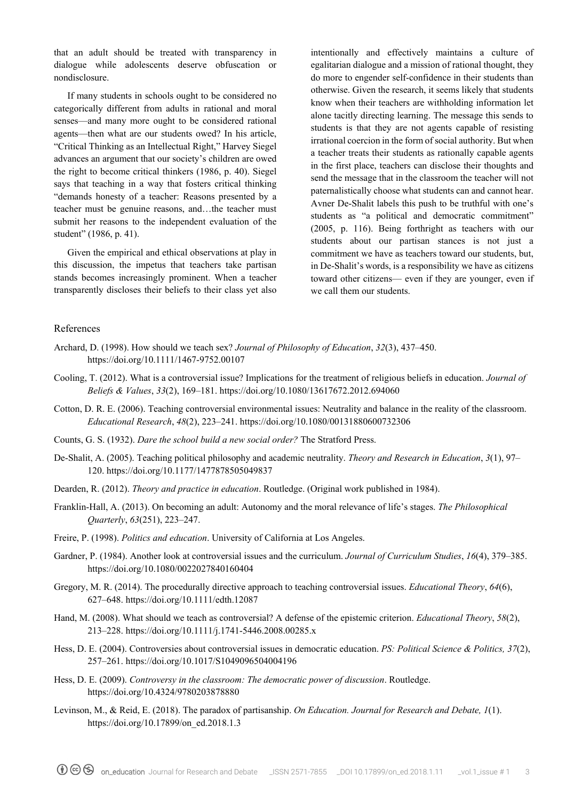that an adult should be treated with transparency in dialogue while adolescents deserve obfuscation or nondisclosure.

If many students in schools ought to be considered no categorically different from adults in rational and moral senses—and many more ought to be considered rational agents—then what are our students owed? In his article, "Critical Thinking as an Intellectual Right," Harvey Siegel advances an argument that our society's children are owed the right to become critical thinkers (1986, p. 40). Siegel says that teaching in a way that fosters critical thinking "demands honesty of a teacher: Reasons presented by a teacher must be genuine reasons, and…the teacher must submit her reasons to the independent evaluation of the student" (1986, p. 41).

Given the empirical and ethical observations at play in this discussion, the impetus that teachers take partisan stands becomes increasingly prominent. When a teacher transparently discloses their beliefs to their class yet also

intentionally and effectively maintains a culture of egalitarian dialogue and a mission of rational thought, they do more to engender self-confidence in their students than otherwise. Given the research, it seems likely that students know when their teachers are withholding information let alone tacitly directing learning. The message this sends to students is that they are not agents capable of resisting irrational coercion in the form of social authority. But when a teacher treats their students as rationally capable agents in the first place, teachers can disclose their thoughts and send the message that in the classroom the teacher will not paternalistically choose what students can and cannot hear. Avner De-Shalit labels this push to be truthful with one's students as "a political and democratic commitment" (2005, p. 116). Being forthright as teachers with our students about our partisan stances is not just a commitment we have as teachers toward our students, but, in De-Shalit's words, is a responsibility we have as citizens toward other citizens— even if they are younger, even if we call them our students.

## References

- Archard, D. (1998). How should we teach sex? *Journal of Philosophy of Education*, *32*(3), 437–450. <https://doi.org/10.1111/1467-9752.00107>
- Cooling, T. (2012). What is a controversial issue? Implications for the treatment of religious beliefs in education. *Journal of Beliefs & Values*, *33*(2), 169–181.<https://doi.org/10.1080/13617672.2012.694060>
- Cotton, D. R. E. (2006). Teaching controversial environmental issues: Neutrality and balance in the reality of the classroom. *Educational Research*, *48*(2), 223–241.<https://doi.org/10.1080/00131880600732306>
- Counts, G. S. (1932). *Dare the school build a new social order?* The Stratford Press.
- De-Shalit, A. (2005). Teaching political philosophy and academic neutrality. *Theory and Research in Education*, *3*(1), 97– 120.<https://doi.org/10.1177/1477878505049837>
- Dearden, R. (2012). *Theory and practice in education*. Routledge. (Original work published in 1984).
- Franklin-Hall, A. (2013). On becoming an adult: Autonomy and the moral relevance of life's stages. *The Philosophical Quarterly*, *63*(251), 223–247.
- Freire, P. (1998). *Politics and education*. University of California at Los Angeles.
- Gardner, P. (1984). Another look at controversial issues and the curriculum. *Journal of Curriculum Studies*, *16*(4), 379–385. <https://doi.org/10.1080/0022027840160404>
- <span id="page-2-0"></span>Gregory, M. R. (2014). The procedurally directive approach to teaching controversial issues. *Educational Theory*, *64*(6), 627–648.<https://doi.org/10.1111/edth.12087>
- <span id="page-2-1"></span>Hand, M. (2008). What should we teach as controversial? A defense of the epistemic criterion. *Educational Theory*, *58*(2), 213–228.<https://doi.org/10.1111/j.1741-5446.2008.00285.x>
- Hess, D. E. (2004). Controversies about controversial issues in democratic education. *PS: Political Science & Politics, 37*(2), 257–261. https://doi.org/10.1017/S1049096504004196
- Hess, D. E. (2009). *Controversy in the classroom: The democratic power of discussion*. Routledge. https://doi.org/10.4324/9780203878880
- <span id="page-2-2"></span>Levinson, M., & Reid, E. (2018). The paradox of partisanship. *On Education. Journal for Research and Debate, 1*(1). [https://doi.org/10.17899/on\\_ed.2018.1.3](https://doi.org/10.17899/on_ed.2018.1.3)